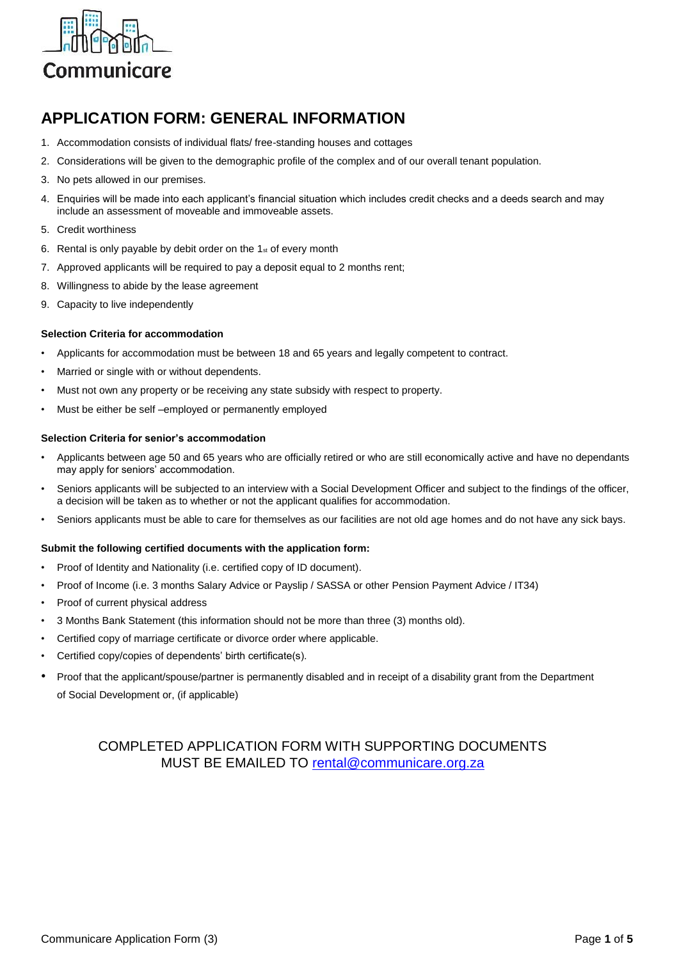

## **APPLICATION FORM: GENERAL INFORMATION**

- 1. Accommodation consists of individual flats/ free-standing houses and cottages
- 2. Considerations will be given to the demographic profile of the complex and of our overall tenant population.
- 3. No pets allowed in our premises.
- 4. Enquiries will be made into each applicant's financial situation which includes credit checks and a deeds search and may include an assessment of moveable and immoveable assets.
- 5. Credit worthiness
- 6. Rental is only payable by debit order on the  $1<sub>st</sub>$  of every month
- 7. Approved applicants will be required to pay a deposit equal to 2 months rent;
- 8. Willingness to abide by the lease agreement
- 9. Capacity to live independently

#### **Selection Criteria for accommodation**

- Applicants for accommodation must be between 18 and 65 years and legally competent to contract.
- Married or single with or without dependents.
- Must not own any property or be receiving any state subsidy with respect to property.
- Must be either be self-employed or permanently employed

#### **Selection Criteria for senior's accommodation**

- Applicants between age 50 and 65 years who are officially retired or who are still economically active and have no dependants may apply for seniors' accommodation.
- Seniors applicants will be subjected to an interview with a Social Development Officer and subject to the findings of the officer, a decision will be taken as to whether or not the applicant qualifies for accommodation.
- Seniors applicants must be able to care for themselves as our facilities are not old age homes and do not have any sick bays.

### **Submit the following certified documents with the application form:**

- Proof of Identity and Nationality (i.e. certified copy of ID document).
- Proof of Income (i.e. 3 months Salary Advice or Payslip / SASSA or other Pension Payment Advice / IT34)
- Proof of current physical address
- 3 Months Bank Statement (this information should not be more than three (3) months old).
- Certified copy of marriage certificate or divorce order where applicable.
- Certified copy/copies of dependents' birth certificate(s).
- Proof that the applicant/spouse/partner is permanently disabled and in receipt of a disability grant from the Department of Social Development or, (if applicable)

## COMPLETED APPLICATION FORM WITH SUPPORTING DOCUMENTS MUST BE EMAILED TO [rental@communicare.org.za](mailto:rental@communicare.org.za)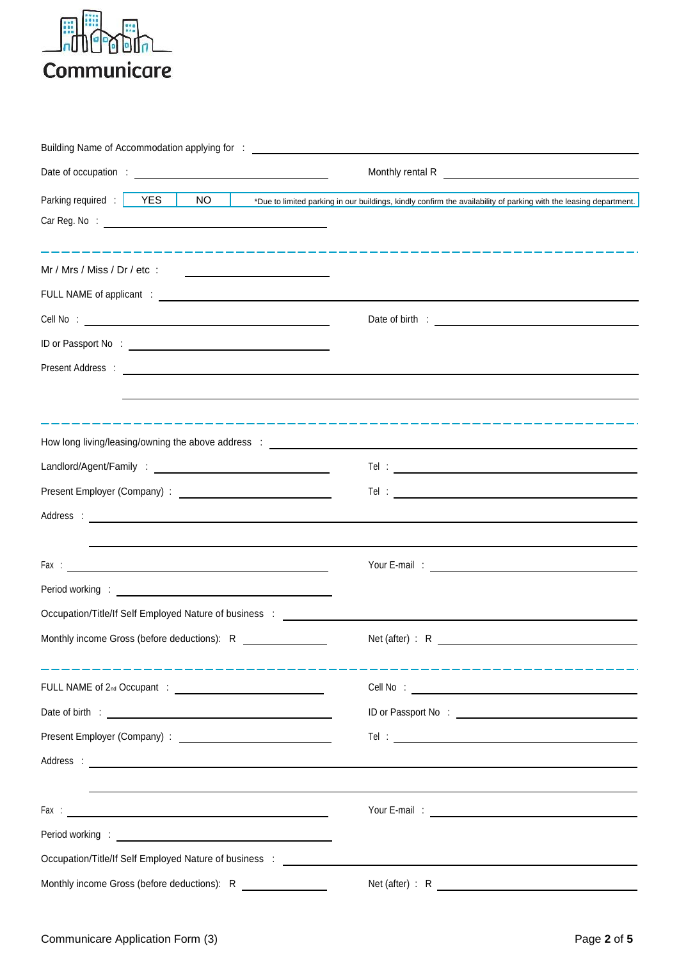

| Building Name of Accommodation applying for : __________________________________                                                                                                                                               |                                                                                                                                                                                                              |
|--------------------------------------------------------------------------------------------------------------------------------------------------------------------------------------------------------------------------------|--------------------------------------------------------------------------------------------------------------------------------------------------------------------------------------------------------------|
|                                                                                                                                                                                                                                | Monthly rental R<br><u> Monthly</u> rental R                                                                                                                                                                 |
| Parking required :   YES<br>NO                                                                                                                                                                                                 | *Due to limited parking in our buildings, kindly confirm the availability of parking with the leasing department.                                                                                            |
|                                                                                                                                                                                                                                |                                                                                                                                                                                                              |
|                                                                                                                                                                                                                                |                                                                                                                                                                                                              |
| Mr / Mrs / Miss / Dr / etc $\cdot$                                                                                                                                                                                             |                                                                                                                                                                                                              |
|                                                                                                                                                                                                                                |                                                                                                                                                                                                              |
|                                                                                                                                                                                                                                |                                                                                                                                                                                                              |
|                                                                                                                                                                                                                                |                                                                                                                                                                                                              |
|                                                                                                                                                                                                                                |                                                                                                                                                                                                              |
|                                                                                                                                                                                                                                |                                                                                                                                                                                                              |
|                                                                                                                                                                                                                                |                                                                                                                                                                                                              |
|                                                                                                                                                                                                                                |                                                                                                                                                                                                              |
|                                                                                                                                                                                                                                | $\begin{tabular}{c} \bf Tel & : & \textcolor{red}{\textbf{--}} & \textcolor{red}{\textbf{--}} & \textcolor{red}{\textbf{--}} & \textcolor{red}{\textbf{--}} & \textcolor{red}{\textbf{--}} \\ \end{tabular}$ |
|                                                                                                                                                                                                                                |                                                                                                                                                                                                              |
|                                                                                                                                                                                                                                |                                                                                                                                                                                                              |
|                                                                                                                                                                                                                                |                                                                                                                                                                                                              |
|                                                                                                                                                                                                                                |                                                                                                                                                                                                              |
|                                                                                                                                                                                                                                |                                                                                                                                                                                                              |
| Occupation/Title/If Self Employed Nature of business : _________________________                                                                                                                                               |                                                                                                                                                                                                              |
| Monthly income Gross (before deductions): R                                                                                                                                                                                    |                                                                                                                                                                                                              |
|                                                                                                                                                                                                                                |                                                                                                                                                                                                              |
|                                                                                                                                                                                                                                |                                                                                                                                                                                                              |
|                                                                                                                                                                                                                                |                                                                                                                                                                                                              |
|                                                                                                                                                                                                                                |                                                                                                                                                                                                              |
|                                                                                                                                                                                                                                |                                                                                                                                                                                                              |
|                                                                                                                                                                                                                                |                                                                                                                                                                                                              |
|                                                                                                                                                                                                                                |                                                                                                                                                                                                              |
| Period working : New York State State State State State State State State State State State State State State State State State State State State State State State State State State State State State State State State Stat |                                                                                                                                                                                                              |
|                                                                                                                                                                                                                                |                                                                                                                                                                                                              |
| Monthly income Gross (before deductions): R ________________                                                                                                                                                                   |                                                                                                                                                                                                              |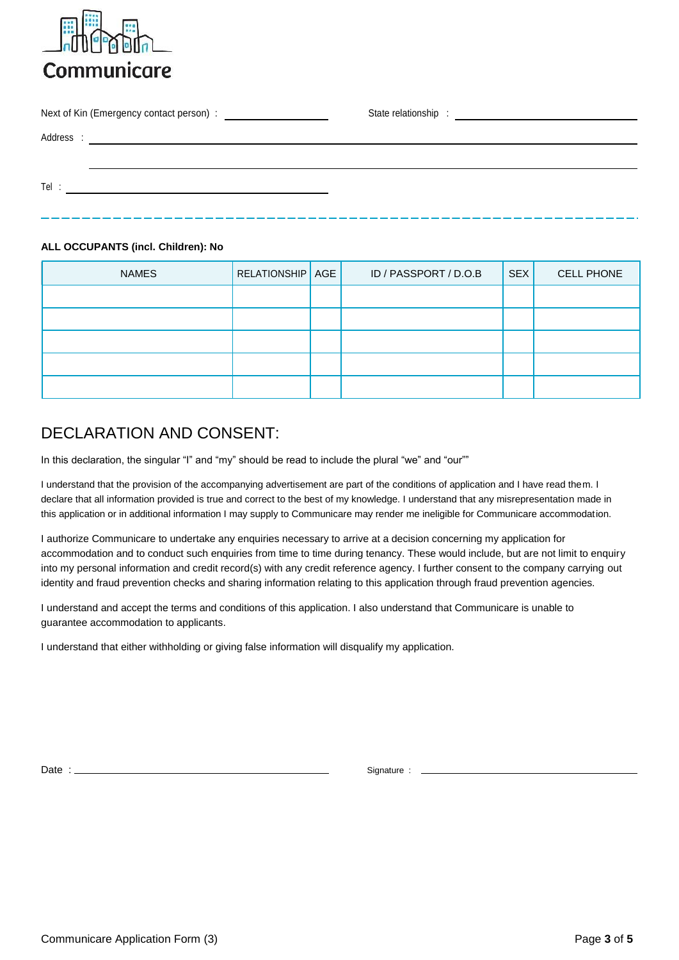

| Tel: |  |  |  |  |
|------|--|--|--|--|
|      |  |  |  |  |

## **ALL OCCUPANTS (incl. Children): No**

| <b>NAMES</b> | <b>RELATIONSHIP</b> AGE | ID / PASSPORT / D.O.B | SEX | CELL PHONE |
|--------------|-------------------------|-----------------------|-----|------------|
|              |                         |                       |     |            |
|              |                         |                       |     |            |
|              |                         |                       |     |            |
|              |                         |                       |     |            |
|              |                         |                       |     |            |

# DECLARATION AND CONSENT

In this declaration, the singular "I" and "my" should be read to include the plural "we" and "our""

I understand that the provision of the accompanying advertisement are part of the conditions of application and I have read them. I declare that all information provided is true and correct to the best of my knowledge. I understand that any misrepresentation made in this application or in additional information I may supply to Communicare may render me ineligible for Communicare accommodation.

I authorize Communicare to undertake any enquiries necessary to arrive at a decision concerning my application for accommodation and to conduct such enquiries from time to time during tenancy. These would include, but are not limit to enquiry into my personal information and credit record(s) with any credit reference agency. I further consent to the company carrying out identity and fraud prevention checks and sharing information relating to this application through fraud prevention agencies.

I understand and accept the terms and conditions of this application. I also understand that Communicare is unable to guarantee accommodation to applicants.

I understand that either withholding or giving false information will disqualify my application.

Date : Signature : Signature : Signature : Signature : Signature : Signature :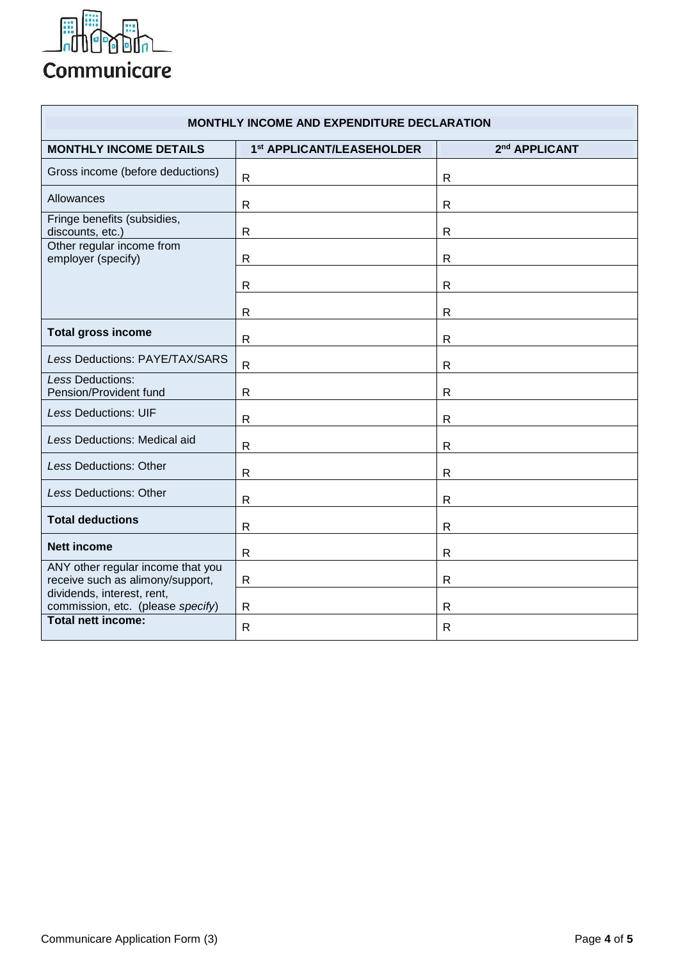

| <b>MONTHLY INCOME AND EXPENDITURE DECLARATION</b>                     |                           |                           |  |  |  |
|-----------------------------------------------------------------------|---------------------------|---------------------------|--|--|--|
| <b>MONTHLY INCOME DETAILS</b>                                         | 1st APPLICANT/LEASEHOLDER | 2 <sup>nd</sup> APPLICANT |  |  |  |
| Gross income (before deductions)                                      | $\mathsf{R}$              | $\mathsf{R}$              |  |  |  |
| Allowances                                                            | R                         | R                         |  |  |  |
| Fringe benefits (subsidies,<br>discounts, etc.)                       | R                         | $\mathsf{R}$              |  |  |  |
| Other regular income from<br>employer (specify)                       | R                         | $\mathsf{R}$              |  |  |  |
|                                                                       | $\mathsf{R}$              | $\mathsf{R}$              |  |  |  |
|                                                                       | R                         | R                         |  |  |  |
| <b>Total gross income</b>                                             | R                         | R                         |  |  |  |
| Less Deductions: PAYE/TAX/SARS                                        | $\mathsf{R}$              | $\mathsf{R}$              |  |  |  |
| <b>Less Deductions:</b><br>Pension/Provident fund                     | $\mathsf{R}$              | $\mathsf{R}$              |  |  |  |
| Less Deductions: UIF                                                  | $\mathsf{R}$              | $\mathsf{R}$              |  |  |  |
| Less Deductions: Medical aid                                          | R                         | $\mathsf{R}$              |  |  |  |
| Less Deductions: Other                                                | R                         | $\mathsf{R}$              |  |  |  |
| <b>Less Deductions: Other</b>                                         | $\mathsf{R}$              | $\mathsf{R}$              |  |  |  |
| <b>Total deductions</b>                                               | $\mathsf{R}$              | $\mathsf{R}$              |  |  |  |
| <b>Nett income</b>                                                    | $\mathsf{R}$              | $\mathsf{R}$              |  |  |  |
| ANY other regular income that you<br>receive such as alimony/support, | $\mathsf{R}$              | $\mathsf{R}$              |  |  |  |
| dividends, interest, rent,<br>commission, etc. (please specify)       | $\mathsf{R}$              | R                         |  |  |  |
| <b>Total nett income:</b>                                             | R                         | R                         |  |  |  |